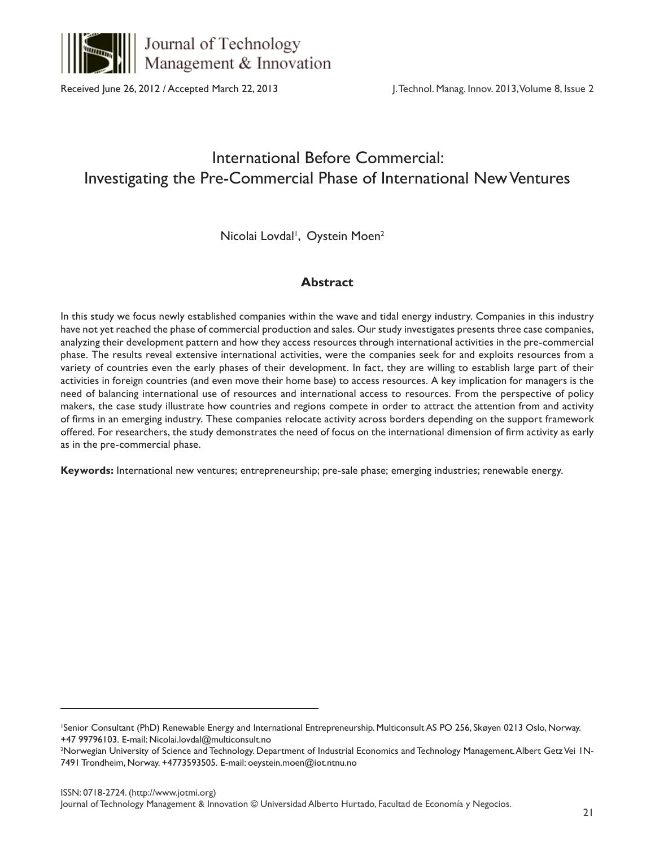

Journal of Technology Management & Innovation

Received June 26, 2012 / Accepted March 22, 2013

J. Technol. Manag. Innov. 2013, Volume 8, Issue 2

# International Before Commercial: Investigating the Pre-Commercial Phase of International New Ventures

Nicolai Lovdal<sup>1</sup>, Oystein Moen<sup>2</sup>

# **Abstract**

In this study we focus newly established companies within the wave and tidal energy industry. Companies in this industry have not yet reached the phase of commercial production and sales. Our study investigates presents three case companies, analyzing their development pattern and how they access resources through international activities in the pre-commercial phase. The results reveal extensive international activities, were the companies seek for and exploits resources from a variety of countries even the early phases of their development. In fact, they are willing to establish large part of their activities in foreign countries (and even move their home base) to access resources. A key implication for managers is the need of balancing international use of resources and international access to resources. From the perspective of policy makers, the case study illustrate how countries and regions compete in order to attract the attention from and activity of firms in an emerging industry. These companies relocate activity across borders depending on the support framework offered. For researchers, the study demonstrates the need of focus on the international dimension of firm activity as early as in the pre-commercial phase.

**Keywords:** International new ventures; entrepreneurship; pre-sale phase; emerging industries; renewable energy.

<sup>1</sup> Senior Consultant (PhD) Renewable Energy and International Entrepreneurship. Multiconsult AS PO 256, Skøyen 0213 Oslo, Norway. +47 99796103. E-mail: Nicolai.lovdal@multiconsult.no

<sup>2</sup> Norwegian University of Science and Technology. Department of Industrial Economics and Technology Management. Albert Getz Vei 1N-7491 Trondheim, Norway. +4773593505. E-mail: oeystein.moen@iot.ntnu.no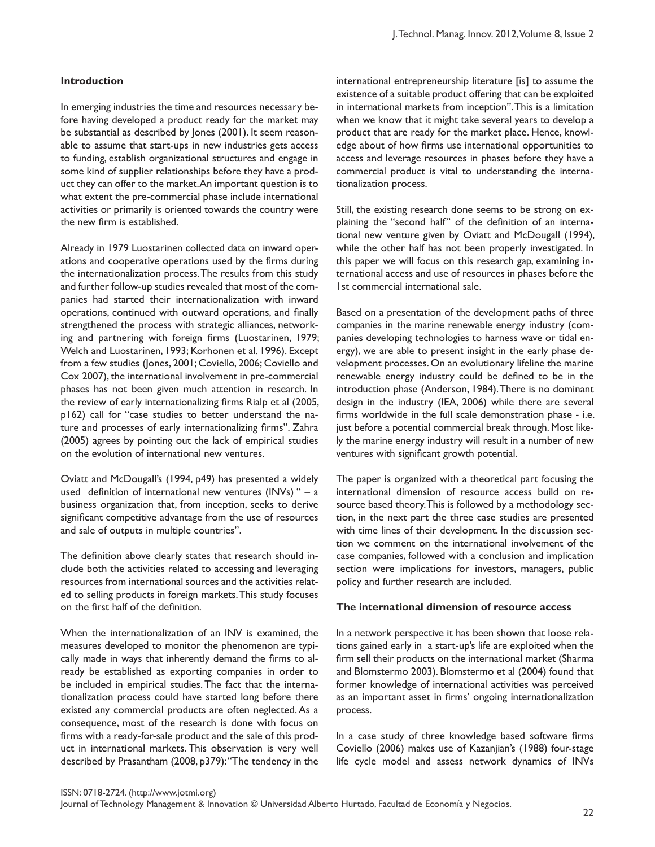# **Introduction**

In emerging industries the time and resources necessary before having developed a product ready for the market may be substantial as described by Jones (2001). It seem reasonable to assume that start-ups in new industries gets access to funding, establish organizational structures and engage in some kind of supplier relationships before they have a product they can offer to the market. An important question is to what extent the pre-commercial phase include international activities or primarily is oriented towards the country were the new firm is established.

Already in 1979 Luostarinen collected data on inward operations and cooperative operations used by the firms during the internationalization process. The results from this study and further follow-up studies revealed that most of the companies had started their internationalization with inward operations, continued with outward operations, and finally strengthened the process with strategic alliances, networking and partnering with foreign firms (Luostarinen, 1979; Welch and Luostarinen, 1993; Korhonen et al. 1996). Except from a few studies (Jones, 2001; Coviello, 2006; Coviello and Cox 2007), the international involvement in pre-commercial phases has not been given much attention in research. In the review of early internationalizing firms Rialp et al (2005, p162) call for "case studies to better understand the nature and processes of early internationalizing firms". Zahra (2005) agrees by pointing out the lack of empirical studies on the evolution of international new ventures.

Oviatt and McDougall's (1994, p49) has presented a widely used definition of international new ventures (INVs) " – a business organization that, from inception, seeks to derive significant competitive advantage from the use of resources and sale of outputs in multiple countries".

The definition above clearly states that research should include both the activities related to accessing and leveraging resources from international sources and the activities related to selling products in foreign markets. This study focuses on the first half of the definition.

When the internationalization of an INV is examined, the measures developed to monitor the phenomenon are typically made in ways that inherently demand the firms to already be established as exporting companies in order to be included in empirical studies. The fact that the internationalization process could have started long before there existed any commercial products are often neglected. As a consequence, most of the research is done with focus on firms with a ready-for-sale product and the sale of this product in international markets. This observation is very well described by Prasantham (2008, p379): "The tendency in the international entrepreneurship literature [is] to assume the existence of a suitable product offering that can be exploited in international markets from inception". This is a limitation when we know that it might take several years to develop a product that are ready for the market place. Hence, knowledge about of how firms use international opportunities to access and leverage resources in phases before they have a commercial product is vital to understanding the internationalization process.

Still, the existing research done seems to be strong on explaining the "second half" of the definition of an international new venture given by Oviatt and McDougall (1994), while the other half has not been properly investigated. In this paper we will focus on this research gap, examining international access and use of resources in phases before the 1st commercial international sale.

Based on a presentation of the development paths of three companies in the marine renewable energy industry (companies developing technologies to harness wave or tidal energy), we are able to present insight in the early phase development processes. On an evolutionary lifeline the marine renewable energy industry could be defined to be in the introduction phase (Anderson, 1984). There is no dominant design in the industry (IEA, 2006) while there are several firms worldwide in the full scale demonstration phase - i.e. just before a potential commercial break through. Most likely the marine energy industry will result in a number of new ventures with significant growth potential.

The paper is organized with a theoretical part focusing the international dimension of resource access build on resource based theory. This is followed by a methodology section, in the next part the three case studies are presented with time lines of their development. In the discussion section we comment on the international involvement of the case companies, followed with a conclusion and implication section were implications for investors, managers, public policy and further research are included.

#### **The international dimension of resource access**

In a network perspective it has been shown that loose relations gained early in a start-up's life are exploited when the firm sell their products on the international market (Sharma and Blomstermo 2003). Blomstermo et al (2004) found that former knowledge of international activities was perceived as an important asset in firms' ongoing internationalization process.

In a case study of three knowledge based software firms Coviello (2006) makes use of Kazanjian's (1988) four-stage life cycle model and assess network dynamics of INVs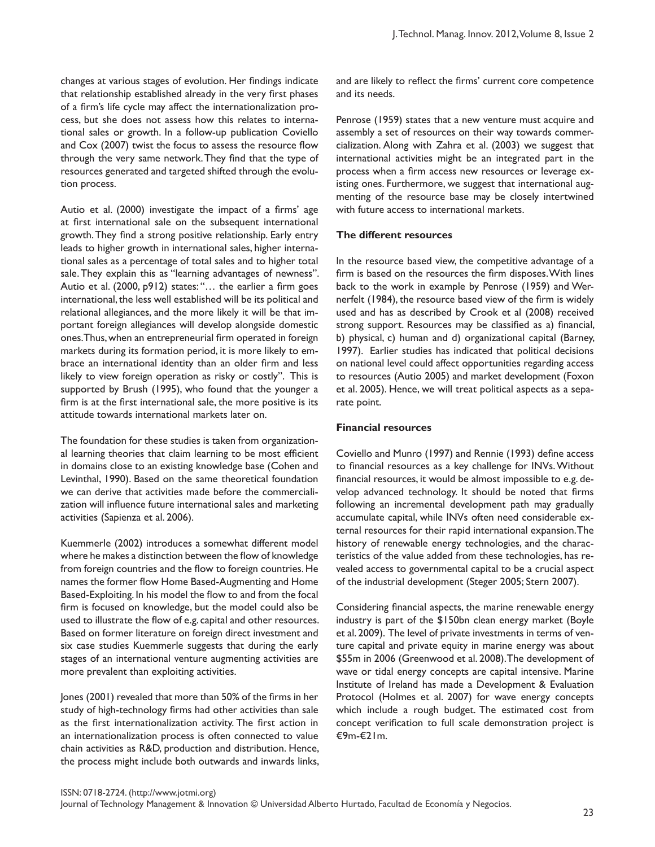changes at various stages of evolution. Her findings indicate that relationship established already in the very first phases of a firm's life cycle may affect the internationalization process, but she does not assess how this relates to international sales or growth. In a follow-up publication Coviello and Cox (2007) twist the focus to assess the resource flow through the very same network. They find that the type of resources generated and targeted shifted through the evolution process.

Autio et al. (2000) investigate the impact of a firms' age at first international sale on the subsequent international growth. They find a strong positive relationship. Early entry leads to higher growth in international sales, higher international sales as a percentage of total sales and to higher total sale. They explain this as "learning advantages of newness". Autio et al. (2000, p912) states: "… the earlier a firm goes international, the less well established will be its political and relational allegiances, and the more likely it will be that important foreign allegiances will develop alongside domestic ones. Thus, when an entrepreneurial firm operated in foreign markets during its formation period, it is more likely to embrace an international identity than an older firm and less likely to view foreign operation as risky or costly". This is supported by Brush (1995), who found that the younger a firm is at the first international sale, the more positive is its attitude towards international markets later on.

The foundation for these studies is taken from organizational learning theories that claim learning to be most efficient in domains close to an existing knowledge base (Cohen and Levinthal, 1990). Based on the same theoretical foundation we can derive that activities made before the commercialization will influence future international sales and marketing activities (Sapienza et al. 2006).

Kuemmerle (2002) introduces a somewhat different model where he makes a distinction between the flow of knowledge from foreign countries and the flow to foreign countries. He names the former flow Home Based-Augmenting and Home Based-Exploiting. In his model the flow to and from the focal firm is focused on knowledge, but the model could also be used to illustrate the flow of e.g. capital and other resources. Based on former literature on foreign direct investment and six case studies Kuemmerle suggests that during the early stages of an international venture augmenting activities are more prevalent than exploiting activities.

Jones (2001) revealed that more than 50% of the firms in her study of high-technology firms had other activities than sale as the first internationalization activity. The first action in an internationalization process is often connected to value chain activities as R&D, production and distribution. Hence, the process might include both outwards and inwards links,

and are likely to reflect the firms' current core competence and its needs.

Penrose (1959) states that a new venture must acquire and assembly a set of resources on their way towards commercialization. Along with Zahra et al. (2003) we suggest that international activities might be an integrated part in the process when a firm access new resources or leverage existing ones. Furthermore, we suggest that international augmenting of the resource base may be closely intertwined with future access to international markets.

# **The different resources**

In the resource based view, the competitive advantage of a firm is based on the resources the firm disposes. With lines back to the work in example by Penrose (1959) and Wernerfelt (1984), the resource based view of the firm is widely used and has as described by Crook et al (2008) received strong support. Resources may be classified as a) financial, b) physical, c) human and d) organizational capital (Barney, 1997). Earlier studies has indicated that political decisions on national level could affect opportunities regarding access to resources (Autio 2005) and market development (Foxon et al. 2005). Hence, we will treat political aspects as a separate point.

#### **Financial resources**

Coviello and Munro (1997) and Rennie (1993) define access to financial resources as a key challenge for INVs. Without financial resources, it would be almost impossible to e.g. develop advanced technology. It should be noted that firms following an incremental development path may gradually accumulate capital, while INVs often need considerable external resources for their rapid international expansion. The history of renewable energy technologies, and the characteristics of the value added from these technologies, has revealed access to governmental capital to be a crucial aspect of the industrial development (Steger 2005; Stern 2007).

Considering financial aspects, the marine renewable energy industry is part of the \$150bn clean energy market (Boyle et al. 2009). The level of private investments in terms of venture capital and private equity in marine energy was about \$55m in 2006 (Greenwood et al. 2008). The development of wave or tidal energy concepts are capital intensive. Marine Institute of Ireland has made a Development & Evaluation Protocol (Holmes et al. 2007) for wave energy concepts which include a rough budget. The estimated cost from concept verification to full scale demonstration project is €9m-€21m.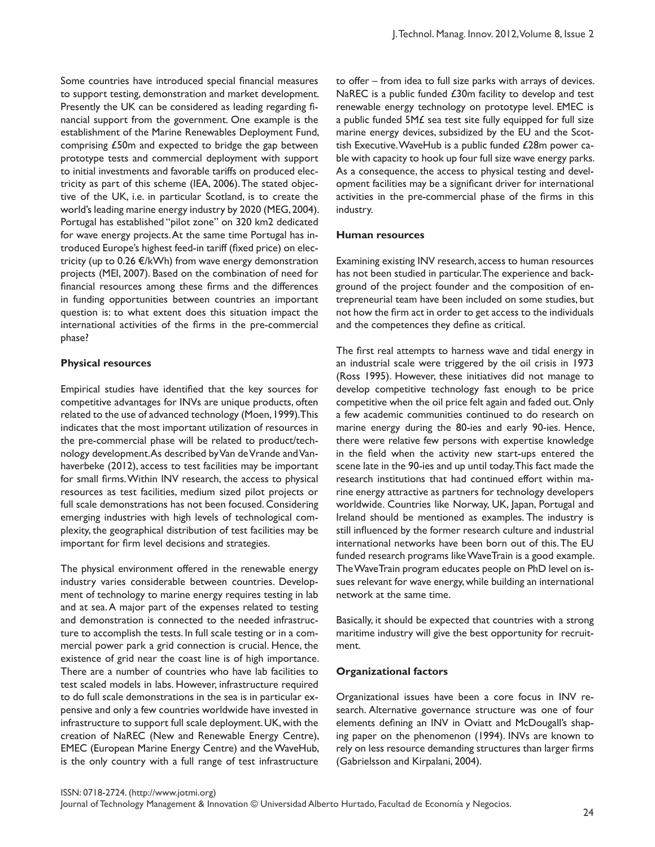Some countries have introduced special financial measures to support testing, demonstration and market development. Presently the UK can be considered as leading regarding financial support from the government. One example is the establishment of the Marine Renewables Deployment Fund, comprising £50m and expected to bridge the gap between prototype tests and commercial deployment with support to initial investments and favorable tariffs on produced electricity as part of this scheme (IEA, 2006). The stated objective of the UK, i.e. in particular Scotland, is to create the world's leading marine energy industry by 2020 (MEG, 2004). Portugal has established "pilot zone" on 320 km2 dedicated for wave energy projects. At the same time Portugal has introduced Europe's highest feed-in tariff (fixed price) on electricity (up to 0.26 €/kWh) from wave energy demonstration projects (MEI, 2007). Based on the combination of need for financial resources among these firms and the differences in funding opportunities between countries an important question is: to what extent does this situation impact the international activities of the firms in the pre-commercial phase?

# **Physical resources**

Empirical studies have identified that the key sources for competitive advantages for INVs are unique products, often related to the use of advanced technology (Moen, 1999). This indicates that the most important utilization of resources in the pre-commercial phase will be related to product/technology development. As described by Van de Vrande and Vanhaverbeke (2012), access to test facilities may be important for small firms. Within INV research, the access to physical resources as test facilities, medium sized pilot projects or full scale demonstrations has not been focused. Considering emerging industries with high levels of technological complexity, the geographical distribution of test facilities may be important for firm level decisions and strategies.

The physical environment offered in the renewable energy industry varies considerable between countries. Development of technology to marine energy requires testing in lab and at sea. A major part of the expenses related to testing and demonstration is connected to the needed infrastructure to accomplish the tests. In full scale testing or in a commercial power park a grid connection is crucial. Hence, the existence of grid near the coast line is of high importance. There are a number of countries who have lab facilities to test scaled models in labs. However, infrastructure required to do full scale demonstrations in the sea is in particular expensive and only a few countries worldwide have invested in infrastructure to support full scale deployment. UK, with the creation of NaREC (New and Renewable Energy Centre), EMEC (European Marine Energy Centre) and the WaveHub, is the only country with a full range of test infrastructure

to offer – from idea to full size parks with arrays of devices. NaREC is a public funded £30m facility to develop and test renewable energy technology on prototype level. EMEC is a public funded  $5M\mathcal{L}$  sea test site fully equipped for full size marine energy devices, subsidized by the EU and the Scottish Executive. WaveHub is a public funded £28m power cable with capacity to hook up four full size wave energy parks. As a consequence, the access to physical testing and development facilities may be a significant driver for international activities in the pre-commercial phase of the firms in this industry.

#### **Human resources**

Examining existing INV research, access to human resources has not been studied in particular. The experience and background of the project founder and the composition of entrepreneurial team have been included on some studies, but not how the firm act in order to get access to the individuals and the competences they define as critical.

The first real attempts to harness wave and tidal energy in an industrial scale were triggered by the oil crisis in 1973 (Ross 1995). However, these initiatives did not manage to develop competitive technology fast enough to be price competitive when the oil price felt again and faded out. Only a few academic communities continued to do research on marine energy during the 80-ies and early 90-ies. Hence, there were relative few persons with expertise knowledge in the field when the activity new start-ups entered the scene late in the 90-ies and up until today. This fact made the research institutions that had continued effort within marine energy attractive as partners for technology developers worldwide. Countries like Norway, UK, Japan, Portugal and Ireland should be mentioned as examples. The industry is still influenced by the former research culture and industrial international networks have been born out of this. The EU funded research programs like WaveTrain is a good example. The WaveTrain program educates people on PhD level on issues relevant for wave energy, while building an international network at the same time.

Basically, it should be expected that countries with a strong maritime industry will give the best opportunity for recruitment.

#### **Organizational factors**

Organizational issues have been a core focus in INV research. Alternative governance structure was one of four elements defining an INV in Oviatt and McDougall's shaping paper on the phenomenon (1994). INVs are known to rely on less resource demanding structures than larger firms (Gabrielsson and Kirpalani, 2004).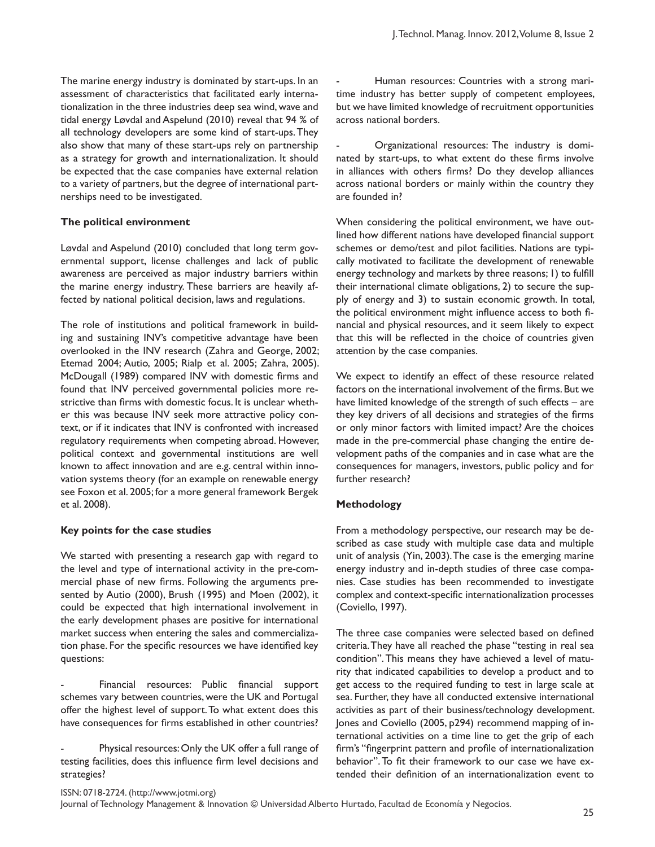The marine energy industry is dominated by start-ups. In an assessment of characteristics that facilitated early internationalization in the three industries deep sea wind, wave and tidal energy Løvdal and Aspelund (2010) reveal that 94 % of all technology developers are some kind of start-ups. They also show that many of these start-ups rely on partnership as a strategy for growth and internationalization. It should be expected that the case companies have external relation to a variety of partners, but the degree of international partnerships need to be investigated.

# **The political environment**

Løvdal and Aspelund (2010) concluded that long term governmental support, license challenges and lack of public awareness are perceived as major industry barriers within the marine energy industry. These barriers are heavily affected by national political decision, laws and regulations.

The role of institutions and political framework in building and sustaining INV's competitive advantage have been overlooked in the INV research (Zahra and George, 2002; Etemad 2004; Autio, 2005; Rialp et al. 2005; Zahra, 2005). McDougall (1989) compared INV with domestic firms and found that INV perceived governmental policies more restrictive than firms with domestic focus. It is unclear whether this was because INV seek more attractive policy context, or if it indicates that INV is confronted with increased regulatory requirements when competing abroad. However, political context and governmental institutions are well known to affect innovation and are e.g. central within innovation systems theory (for an example on renewable energy see Foxon et al. 2005; for a more general framework Bergek et al. 2008).

# **Key points for the case studies**

We started with presenting a research gap with regard to the level and type of international activity in the pre-commercial phase of new firms. Following the arguments presented by Autio (2000), Brush (1995) and Moen (2002), it could be expected that high international involvement in the early development phases are positive for international market success when entering the sales and commercialization phase. For the specific resources we have identified key questions:

Financial resources: Public financial support schemes vary between countries, were the UK and Portugal offer the highest level of support. To what extent does this have consequences for firms established in other countries?

Physical resources: Only the UK offer a full range of testing facilities, does this influence firm level decisions and strategies?

Human resources: Countries with a strong maritime industry has better supply of competent employees, but we have limited knowledge of recruitment opportunities across national borders.

Organizational resources: The industry is dominated by start-ups, to what extent do these firms involve in alliances with others firms? Do they develop alliances across national borders or mainly within the country they are founded in?

When considering the political environment, we have outlined how different nations have developed financial support schemes or demo/test and pilot facilities. Nations are typically motivated to facilitate the development of renewable energy technology and markets by three reasons; 1) to fulfill their international climate obligations, 2) to secure the supply of energy and 3) to sustain economic growth. In total, the political environment might influence access to both financial and physical resources, and it seem likely to expect that this will be reflected in the choice of countries given attention by the case companies.

We expect to identify an effect of these resource related factors on the international involvement of the firms. But we have limited knowledge of the strength of such effects – are they key drivers of all decisions and strategies of the firms or only minor factors with limited impact? Are the choices made in the pre-commercial phase changing the entire development paths of the companies and in case what are the consequences for managers, investors, public policy and for further research?

# **Methodology**

From a methodology perspective, our research may be described as case study with multiple case data and multiple unit of analysis (Yin, 2003). The case is the emerging marine energy industry and in-depth studies of three case companies. Case studies has been recommended to investigate complex and context-specific internationalization processes (Coviello, 1997).

The three case companies were selected based on defined criteria. They have all reached the phase "testing in real sea condition". This means they have achieved a level of maturity that indicated capabilities to develop a product and to get access to the required funding to test in large scale at sea. Further, they have all conducted extensive international activities as part of their business/technology development. Jones and Coviello (2005, p294) recommend mapping of international activities on a time line to get the grip of each firm's "fingerprint pattern and profile of internationalization behavior". To fit their framework to our case we have extended their definition of an internationalization event to

ISSN: 0718-2724. (http://www.jotmi.org)

Journal of Technology Management & Innovation © Universidad Alberto Hurtado, Facultad de Economía y Negocios.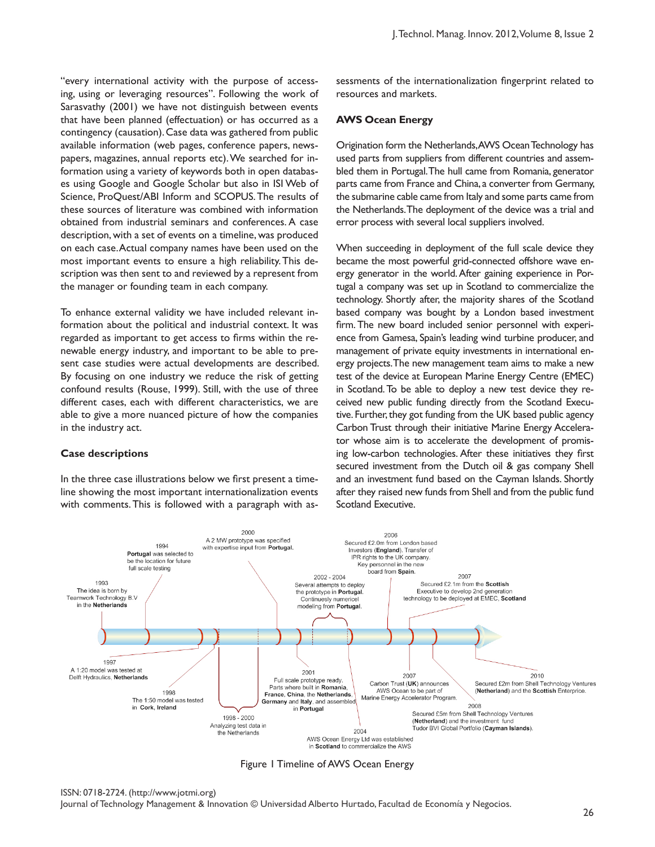"every international activity with the purpose of accessing, using or leveraging resources". Following the work of Sarasvathy (2001) we have not distinguish between events that have been planned (effectuation) or has occurred as a contingency (causation). Case data was gathered from public available information (web pages, conference papers, newspapers, magazines, annual reports etc). We searched for information using a variety of keywords both in open databases using Google and Google Scholar but also in ISI Web of Science, ProQuest/ABI Inform and SCOPUS. The results of these sources of literature was combined with information obtained from industrial seminars and conferences. A case description, with a set of events on a timeline, was produced on each case. Actual company names have been used on the most important events to ensure a high reliability. This description was then sent to and reviewed by a represent from the manager or founding team in each company.

To enhance external validity we have included relevant information about the political and industrial context. It was regarded as important to get access to firms within the renewable energy industry, and important to be able to present case studies were actual developments are described. By focusing on one industry we reduce the risk of getting confound results (Rouse, 1999). Still, with the use of three different cases, each with different characteristics, we are able to give a more nuanced picture of how the companies in the industry act.

#### **Case descriptions**

In the three case illustrations below we first present a timeline showing the most important internationalization events with comments. This is followed with a paragraph with assessments of the internationalization fingerprint related to resources and markets.

#### **AWS Ocean Energy**

Origination form the Netherlands, AWS Ocean Technology has used parts from suppliers from different countries and assembled them in Portugal. The hull came from Romania, generator parts came from France and China, a converter from Germany, the submarine cable came from Italy and some parts came from the Netherlands. The deployment of the device was a trial and error process with several local suppliers involved.

When succeeding in deployment of the full scale device they became the most powerful grid-connected offshore wave energy generator in the world. After gaining experience in Portugal a company was set up in Scotland to commercialize the technology. Shortly after, the majority shares of the Scotland based company was bought by a London based investment firm. The new board included senior personnel with experience from Gamesa, Spain's leading wind turbine producer, and management of private equity investments in international energy projects. The new management team aims to make a new test of the device at European Marine Energy Centre (EMEC) in Scotland. To be able to deploy a new test device they received new public funding directly from the Scotland Executive. Further, they got funding from the UK based public agency Carbon Trust through their initiative Marine Energy Accelerator whose aim is to accelerate the development of promising low-carbon technologies. After these initiatives they first secured investment from the Dutch oil & gas company Shell and an investment fund based on the Cayman Islands. Shortly after they raised new funds from Shell and from the public fund Scotland Executive.



Figure 1 Timeline of AWS Ocean Energy

Journal of Technology Management & Innovation © Universidad Alberto Hurtado, Facultad de Economía y Negocios.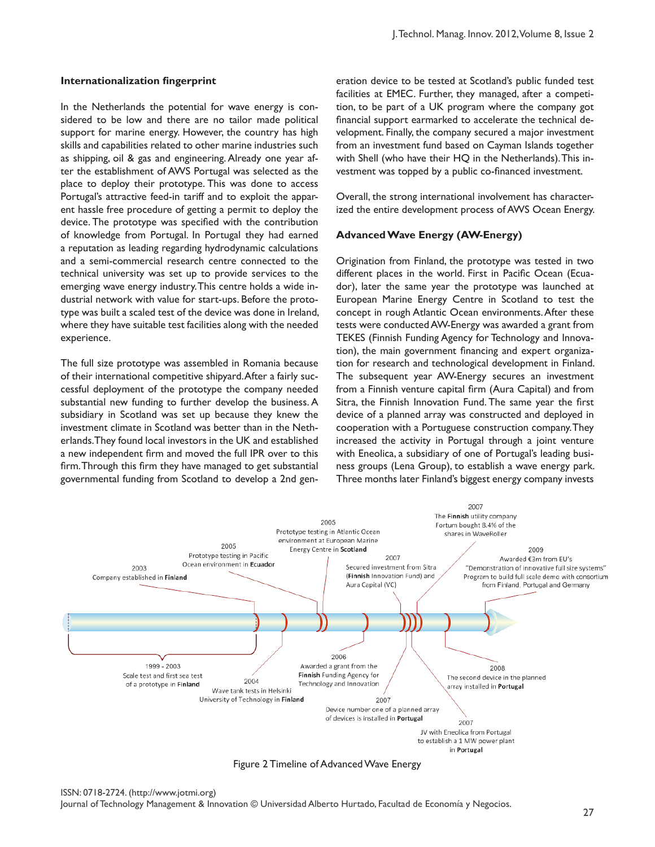# **Internationalization fingerprint**

In the Netherlands the potential for wave energy is considered to be low and there are no tailor made political support for marine energy. However, the country has high skills and capabilities related to other marine industries such as shipping, oil & gas and engineering. Already one year after the establishment of AWS Portugal was selected as the place to deploy their prototype. This was done to access Portugal's attractive feed-in tariff and to exploit the apparent hassle free procedure of getting a permit to deploy the device. The prototype was specified with the contribution of knowledge from Portugal. In Portugal they had earned a reputation as leading regarding hydrodynamic calculations and a semi-commercial research centre connected to the technical university was set up to provide services to the emerging wave energy industry. This centre holds a wide industrial network with value for start-ups. Before the prototype was built a scaled test of the device was done in Ireland, where they have suitable test facilities along with the needed experience.

The full size prototype was assembled in Romania because of their international competitive shipyard. After a fairly successful deployment of the prototype the company needed substantial new funding to further develop the business. A subsidiary in Scotland was set up because they knew the investment climate in Scotland was better than in the Netherlands. They found local investors in the UK and established a new independent firm and moved the full IPR over to this firm. Through this firm they have managed to get substantial governmental funding from Scotland to develop a 2nd generation device to be tested at Scotland's public funded test facilities at EMEC. Further, they managed, after a competition, to be part of a UK program where the company got financial support earmarked to accelerate the technical development. Finally, the company secured a major investment from an investment fund based on Cayman Islands together with Shell (who have their HQ in the Netherlands). This investment was topped by a public co-financed investment.

Overall, the strong international involvement has characterized the entire development process of AWS Ocean Energy.

# **Advanced Wave Energy (AW-Energy)**

Origination from Finland, the prototype was tested in two different places in the world. First in Pacific Ocean (Ecuador), later the same year the prototype was launched at European Marine Energy Centre in Scotland to test the concept in rough Atlantic Ocean environments. After these tests were conducted AW-Energy was awarded a grant from TEKES (Finnish Funding Agency for Technology and Innovation), the main government financing and expert organization for research and technological development in Finland. The subsequent year AW-Energy secures an investment from a Finnish venture capital firm (Aura Capital) and from Sitra, the Finnish Innovation Fund. The same year the first device of a planned array was constructed and deployed in cooperation with a Portuguese construction company. They increased the activity in Portugal through a joint venture with Eneolica, a subsidiary of one of Portugal's leading business groups (Lena Group), to establish a wave energy park. Three months later Finland's biggest energy company invests



Figure 2 Timeline of Advanced Wave Energy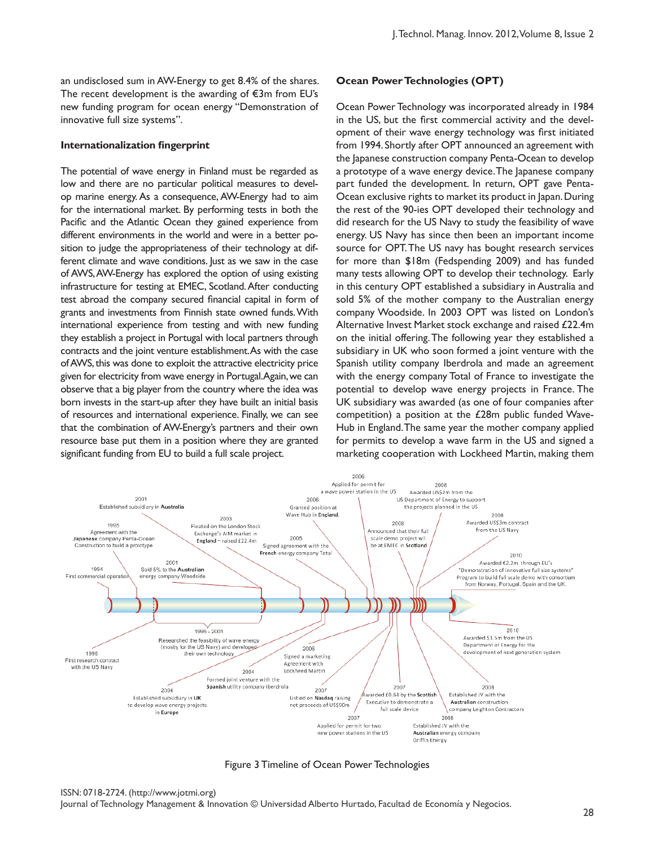an undisclosed sum in AW-Energy to get 8.4% of the shares. The recent development is the awarding of €3m from EU's new funding program for ocean energy "Demonstration of innovative full size systems".

#### **Internationalization fingerprint**

The potential of wave energy in Finland must be regarded as low and there are no particular political measures to develop marine energy. As a consequence, AW-Energy had to aim for the international market. By performing tests in both the Pacific and the Atlantic Ocean they gained experience from different environments in the world and were in a better position to judge the appropriateness of their technology at different climate and wave conditions. Just as we saw in the case of AWS, AW-Energy has explored the option of using existing infrastructure for testing at EMEC, Scotland. After conducting test abroad the company secured financial capital in form of grants and investments from Finnish state owned funds. With international experience from testing and with new funding they establish a project in Portugal with local partners through contracts and the joint venture establishment. As with the case of AWS, this was done to exploit the attractive electricity price given for electricity from wave energy in Portugal. Again, we can observe that a big player from the country where the idea was born invests in the start-up after they have built an initial basis of resources and international experience. Finally, we can see that the combination of AW-Energy's partners and their own resource base put them in a position where they are granted significant funding from EU to build a full scale project.

# **Ocean Power Technologies (OPT)**

Ocean Power Technology was incorporated already in 1984 in the US, but the first commercial activity and the development of their wave energy technology was first initiated from 1994. Shortly after OPT announced an agreement with the Japanese construction company Penta-Ocean to develop a prototype of a wave energy device. The Japanese company part funded the development. In return, OPT gave Penta-Ocean exclusive rights to market its product in Japan. During the rest of the 90-ies OPT developed their technology and did research for the US Navy to study the feasibility of wave energy. US Navy has since then been an important income source for OPT. The US navy has bought research services for more than \$18m (Fedspending 2009) and has funded many tests allowing OPT to develop their technology. Early in this century OPT established a subsidiary in Australia and sold 5% of the mother company to the Australian energy company Woodside. In 2003 OPT was listed on London's Alternative Invest Market stock exchange and raised £22.4m on the initial offering. The following year they established a subsidiary in UK who soon formed a joint venture with the Spanish utility company Iberdrola and made an agreement with the energy company Total of France to investigate the potential to develop wave energy projects in France. The UK subsidiary was awarded (as one of four companies after competition) a position at the £28m public funded Wave-Hub in England. The same year the mother company applied for permits to develop a wave farm in the US and signed a marketing cooperation with Lockheed Martin, making them



Figure 3 Timeline of Ocean Power Technologies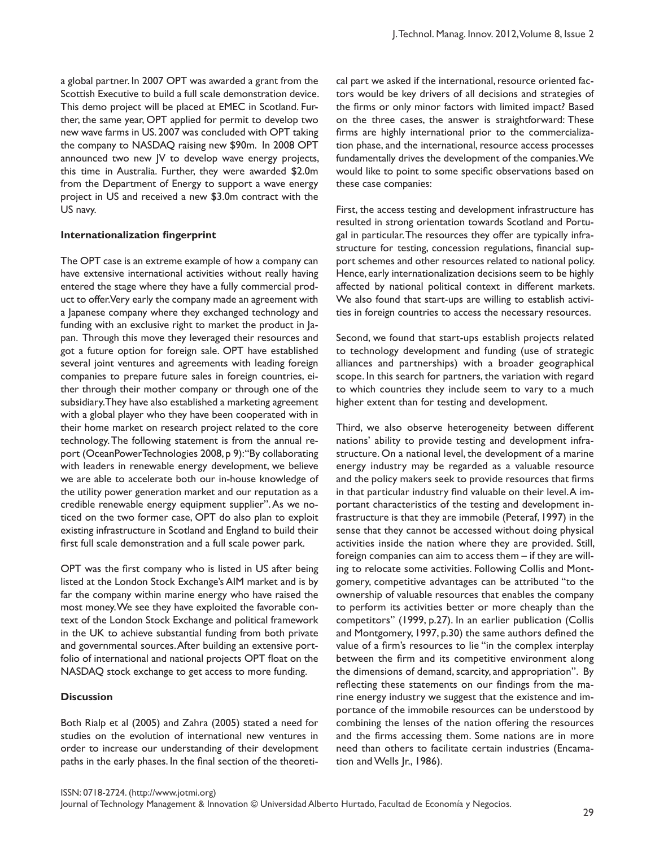a global partner. In 2007 OPT was awarded a grant from the Scottish Executive to build a full scale demonstration device. This demo project will be placed at EMEC in Scotland. Further, the same year, OPT applied for permit to develop two new wave farms in US. 2007 was concluded with OPT taking the company to NASDAQ raising new \$90m. In 2008 OPT announced two new JV to develop wave energy projects, this time in Australia. Further, they were awarded \$2.0m from the Department of Energy to support a wave energy project in US and received a new \$3.0m contract with the US navy.

#### **Internationalization fingerprint**

The OPT case is an extreme example of how a company can have extensive international activities without really having entered the stage where they have a fully commercial product to offer. Very early the company made an agreement with a Japanese company where they exchanged technology and funding with an exclusive right to market the product in Japan. Through this move they leveraged their resources and got a future option for foreign sale. OPT have established several joint ventures and agreements with leading foreign companies to prepare future sales in foreign countries, either through their mother company or through one of the subsidiary. They have also established a marketing agreement with a global player who they have been cooperated with in their home market on research project related to the core technology. The following statement is from the annual report (OceanPowerTechnologies 2008, p 9): "By collaborating with leaders in renewable energy development, we believe we are able to accelerate both our in-house knowledge of the utility power generation market and our reputation as a credible renewable energy equipment supplier". As we noticed on the two former case, OPT do also plan to exploit existing infrastructure in Scotland and England to build their first full scale demonstration and a full scale power park.

OPT was the first company who is listed in US after being listed at the London Stock Exchange's AIM market and is by far the company within marine energy who have raised the most money. We see they have exploited the favorable context of the London Stock Exchange and political framework in the UK to achieve substantial funding from both private and governmental sources. After building an extensive portfolio of international and national projects OPT float on the NASDAQ stock exchange to get access to more funding.

#### **Discussion**

Both Rialp et al (2005) and Zahra (2005) stated a need for studies on the evolution of international new ventures in order to increase our understanding of their development paths in the early phases. In the final section of the theoretical part we asked if the international, resource oriented factors would be key drivers of all decisions and strategies of the firms or only minor factors with limited impact? Based on the three cases, the answer is straightforward: These firms are highly international prior to the commercialization phase, and the international, resource access processes fundamentally drives the development of the companies. We would like to point to some specific observations based on these case companies:

First, the access testing and development infrastructure has resulted in strong orientation towards Scotland and Portugal in particular. The resources they offer are typically infrastructure for testing, concession regulations, financial support schemes and other resources related to national policy. Hence, early internationalization decisions seem to be highly affected by national political context in different markets. We also found that start-ups are willing to establish activities in foreign countries to access the necessary resources.

Second, we found that start-ups establish projects related to technology development and funding (use of strategic alliances and partnerships) with a broader geographical scope. In this search for partners, the variation with regard to which countries they include seem to vary to a much higher extent than for testing and development.

Third, we also observe heterogeneity between different nations' ability to provide testing and development infrastructure. On a national level, the development of a marine energy industry may be regarded as a valuable resource and the policy makers seek to provide resources that firms in that particular industry find valuable on their level. A important characteristics of the testing and development infrastructure is that they are immobile (Peteraf, 1997) in the sense that they cannot be accessed without doing physical activities inside the nation where they are provided. Still, foreign companies can aim to access them – if they are willing to relocate some activities. Following Collis and Montgomery, competitive advantages can be attributed "to the ownership of valuable resources that enables the company to perform its activities better or more cheaply than the competitors" (1999, p.27). In an earlier publication (Collis and Montgomery, 1997, p.30) the same authors defined the value of a firm's resources to lie "in the complex interplay between the firm and its competitive environment along the dimensions of demand, scarcity, and appropriation". By reflecting these statements on our findings from the marine energy industry we suggest that the existence and importance of the immobile resources can be understood by combining the lenses of the nation offering the resources and the firms accessing them. Some nations are in more need than others to facilitate certain industries (Encamation and Wells Jr., 1986).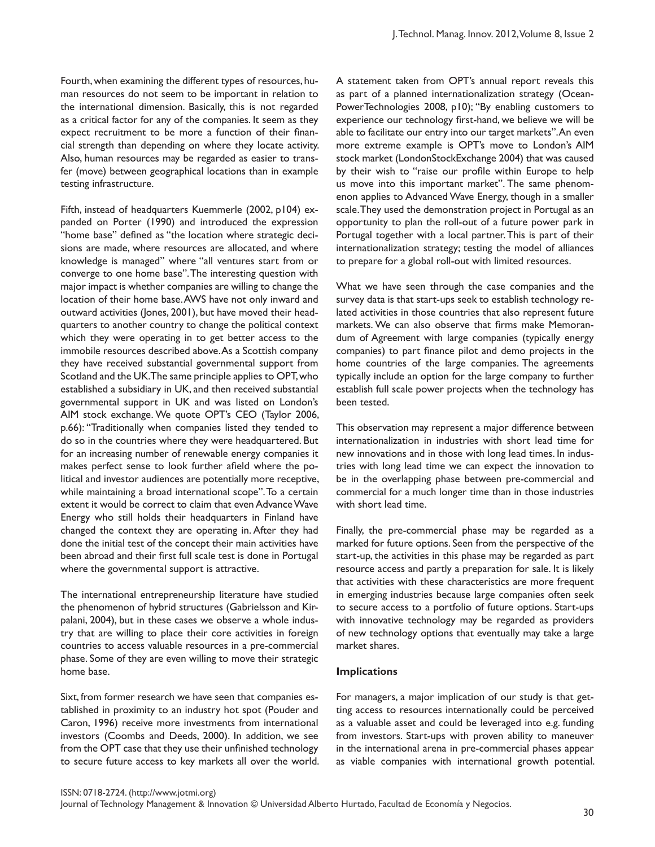Fourth, when examining the different types of resources, human resources do not seem to be important in relation to the international dimension. Basically, this is not regarded as a critical factor for any of the companies. It seem as they expect recruitment to be more a function of their financial strength than depending on where they locate activity. Also, human resources may be regarded as easier to transfer (move) between geographical locations than in example testing infrastructure.

Fifth, instead of headquarters Kuemmerle (2002, p104) expanded on Porter (1990) and introduced the expression "home base" defined as "the location where strategic decisions are made, where resources are allocated, and where knowledge is managed" where "all ventures start from or converge to one home base". The interesting question with major impact is whether companies are willing to change the location of their home base. AWS have not only inward and outward activities (Jones, 2001), but have moved their headquarters to another country to change the political context which they were operating in to get better access to the immobile resources described above. As a Scottish company they have received substantial governmental support from Scotland and the UK. The same principle applies to OPT, who established a subsidiary in UK, and then received substantial governmental support in UK and was listed on London's AIM stock exchange. We quote OPT's CEO (Taylor 2006, p.66): "Traditionally when companies listed they tended to do so in the countries where they were headquartered. But for an increasing number of renewable energy companies it makes perfect sense to look further afield where the political and investor audiences are potentially more receptive, while maintaining a broad international scope". To a certain extent it would be correct to claim that even Advance Wave Energy who still holds their headquarters in Finland have changed the context they are operating in. After they had done the initial test of the concept their main activities have been abroad and their first full scale test is done in Portugal where the governmental support is attractive.

The international entrepreneurship literature have studied the phenomenon of hybrid structures (Gabrielsson and Kirpalani, 2004), but in these cases we observe a whole industry that are willing to place their core activities in foreign countries to access valuable resources in a pre-commercial phase. Some of they are even willing to move their strategic home base.

Sixt, from former research we have seen that companies established in proximity to an industry hot spot (Pouder and Caron, 1996) receive more investments from international investors (Coombs and Deeds, 2000). In addition, we see from the OPT case that they use their unfinished technology to secure future access to key markets all over the world. A statement taken from OPT's annual report reveals this as part of a planned internationalization strategy (Ocean-PowerTechnologies 2008, p10); "By enabling customers to experience our technology first-hand, we believe we will be able to facilitate our entry into our target markets". An even more extreme example is OPT's move to London's AIM stock market (LondonStockExchange 2004) that was caused by their wish to "raise our profile within Europe to help us move into this important market". The same phenomenon applies to Advanced Wave Energy, though in a smaller scale. They used the demonstration project in Portugal as an opportunity to plan the roll-out of a future power park in Portugal together with a local partner. This is part of their internationalization strategy; testing the model of alliances to prepare for a global roll-out with limited resources.

What we have seen through the case companies and the survey data is that start-ups seek to establish technology related activities in those countries that also represent future markets. We can also observe that firms make Memorandum of Agreement with large companies (typically energy companies) to part finance pilot and demo projects in the home countries of the large companies. The agreements typically include an option for the large company to further establish full scale power projects when the technology has been tested.

This observation may represent a major difference between internationalization in industries with short lead time for new innovations and in those with long lead times. In industries with long lead time we can expect the innovation to be in the overlapping phase between pre-commercial and commercial for a much longer time than in those industries with short lead time.

Finally, the pre-commercial phase may be regarded as a marked for future options. Seen from the perspective of the start-up, the activities in this phase may be regarded as part resource access and partly a preparation for sale. It is likely that activities with these characteristics are more frequent in emerging industries because large companies often seek to secure access to a portfolio of future options. Start-ups with innovative technology may be regarded as providers of new technology options that eventually may take a large market shares.

#### **Implications**

For managers, a major implication of our study is that getting access to resources internationally could be perceived as a valuable asset and could be leveraged into e.g. funding from investors. Start-ups with proven ability to maneuver in the international arena in pre-commercial phases appear as viable companies with international growth potential.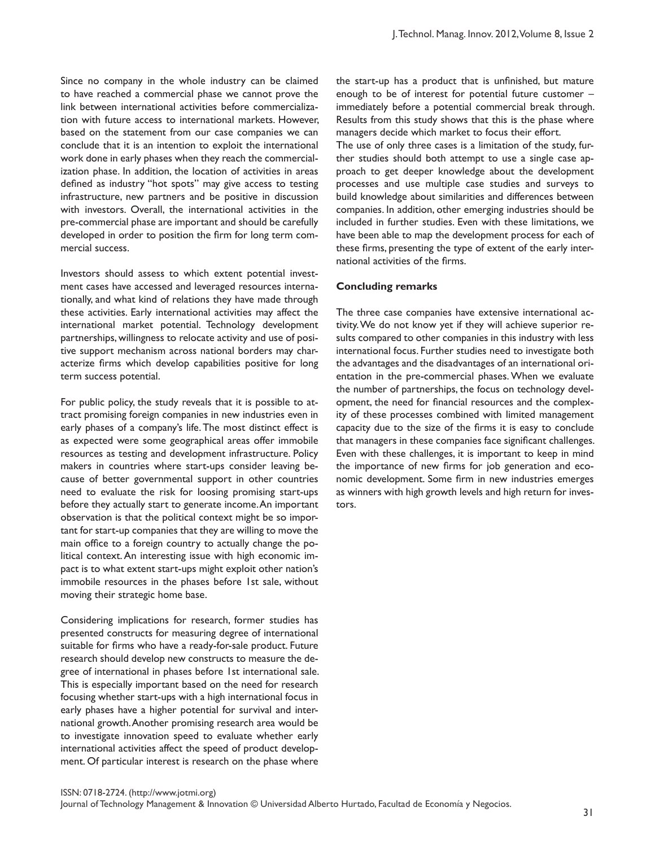Since no company in the whole industry can be claimed to have reached a commercial phase we cannot prove the link between international activities before commercialization with future access to international markets. However, based on the statement from our case companies we can conclude that it is an intention to exploit the international work done in early phases when they reach the commercialization phase. In addition, the location of activities in areas defined as industry "hot spots" may give access to testing infrastructure, new partners and be positive in discussion with investors. Overall, the international activities in the pre-commercial phase are important and should be carefully developed in order to position the firm for long term commercial success.

Investors should assess to which extent potential investment cases have accessed and leveraged resources internationally, and what kind of relations they have made through these activities. Early international activities may affect the international market potential. Technology development partnerships, willingness to relocate activity and use of positive support mechanism across national borders may characterize firms which develop capabilities positive for long term success potential.

For public policy, the study reveals that it is possible to attract promising foreign companies in new industries even in early phases of a company's life. The most distinct effect is as expected were some geographical areas offer immobile resources as testing and development infrastructure. Policy makers in countries where start-ups consider leaving because of better governmental support in other countries need to evaluate the risk for loosing promising start-ups before they actually start to generate income. An important observation is that the political context might be so important for start-up companies that they are willing to move the main office to a foreign country to actually change the political context. An interesting issue with high economic impact is to what extent start-ups might exploit other nation's immobile resources in the phases before 1st sale, without moving their strategic home base.

Considering implications for research, former studies has presented constructs for measuring degree of international suitable for firms who have a ready-for-sale product. Future research should develop new constructs to measure the degree of international in phases before 1st international sale. This is especially important based on the need for research focusing whether start-ups with a high international focus in early phases have a higher potential for survival and international growth. Another promising research area would be to investigate innovation speed to evaluate whether early international activities affect the speed of product development. Of particular interest is research on the phase where

the start-up has a product that is unfinished, but mature enough to be of interest for potential future customer – immediately before a potential commercial break through. Results from this study shows that this is the phase where managers decide which market to focus their effort.

The use of only three cases is a limitation of the study, further studies should both attempt to use a single case approach to get deeper knowledge about the development processes and use multiple case studies and surveys to build knowledge about similarities and differences between companies. In addition, other emerging industries should be included in further studies. Even with these limitations, we have been able to map the development process for each of these firms, presenting the type of extent of the early international activities of the firms.

# **Concluding remarks**

The three case companies have extensive international activity. We do not know yet if they will achieve superior results compared to other companies in this industry with less international focus. Further studies need to investigate both the advantages and the disadvantages of an international orientation in the pre-commercial phases. When we evaluate the number of partnerships, the focus on technology development, the need for financial resources and the complexity of these processes combined with limited management capacity due to the size of the firms it is easy to conclude that managers in these companies face significant challenges. Even with these challenges, it is important to keep in mind the importance of new firms for job generation and economic development. Some firm in new industries emerges as winners with high growth levels and high return for investors.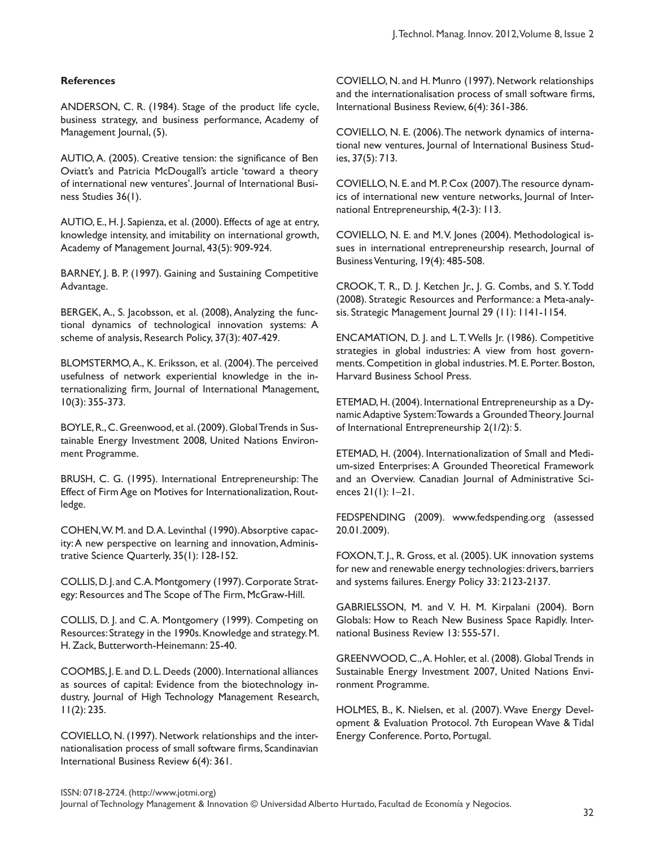# **References**

ANDERSON, C. R. (1984). Stage of the product life cycle, business strategy, and business performance, Academy of Management Journal, (5).

AUTIO, A. (2005). Creative tension: the significance of Ben Oviatt's and Patricia McDougall's article 'toward a theory of international new ventures'. Journal of International Business Studies 36(1).

AUTIO, E., H. J. Sapienza, et al. (2000). Effects of age at entry, knowledge intensity, and imitability on international growth, Academy of Management Journal, 43(5): 909-924.

BARNEY, J. B. P. (1997). Gaining and Sustaining Competitive Advantage.

BERGEK, A., S. Jacobsson, et al. (2008), Analyzing the functional dynamics of technological innovation systems: A scheme of analysis, Research Policy, 37(3): 407-429.

BLOMSTERMO, A., K. Eriksson, et al. (2004). The perceived usefulness of network experiential knowledge in the internationalizing firm, Journal of International Management, 10(3): 355-373.

BOYLE, R., C. Greenwood, et al. (2009). Global Trends in Sustainable Energy Investment 2008, United Nations Environment Programme.

BRUSH, C. G. (1995). International Entrepreneurship: The Effect of Firm Age on Motives for Internationalization, Routledge.

COHEN, W. M. and D. A. Levinthal (1990). Absorptive capacity: A new perspective on learning and innovation, Administrative Science Quarterly, 35(1): 128-152.

COLLIS, D. J. and C. A. Montgomery (1997). Corporate Strategy: Resources and The Scope of The Firm, McGraw-Hill.

COLLIS, D. J. and C. A. Montgomery (1999). Competing on Resources: Strategy in the 1990s. Knowledge and strategy. M. H. Zack, Butterworth-Heinemann: 25-40.

COOMBS, J. E. and D. L. Deeds (2000). International alliances as sources of capital: Evidence from the biotechnology industry, Journal of High Technology Management Research, 11(2): 235.

COVIELLO, N. (1997). Network relationships and the internationalisation process of small software firms, Scandinavian International Business Review 6(4): 361.

COVIELLO, N. and H. Munro (1997). Network relationships and the internationalisation process of small software firms, International Business Review, 6(4): 361-386.

COVIELLO, N. E. (2006). The network dynamics of international new ventures, Journal of International Business Studies, 37(5): 713.

COVIELLO, N. E. and M. P. Cox (2007). The resource dynamics of international new venture networks, Journal of International Entrepreneurship, 4(2-3): 113.

COVIELLO, N. E. and M. V. Jones (2004). Methodological issues in international entrepreneurship research, Journal of Business Venturing, 19(4): 485-508.

CROOK, T. R., D. J. Ketchen Jr., J. G. Combs, and S. Y. Todd (2008). Strategic Resources and Performance: a Meta-analysis. Strategic Management Journal 29 (11): 1141-1154.

ENCAMATION, D. J. and L. T. Wells Jr. (1986). Competitive strategies in global industries: A view from host governments. Competition in global industries. M. E. Porter. Boston, Harvard Business School Press.

ETEMAD, H. (2004). International Entrepreneurship as a Dynamic Adaptive System: Towards a Grounded Theory. Journal of International Entrepreneurship 2(1/2): 5.

ETEMAD, H. (2004). Internationalization of Small and Medium-sized Enterprises: A Grounded Theoretical Framework and an Overview. Canadian Journal of Administrative Sciences 21(1): 1–21.

FEDSPENDING (2009). www.fedspending.org (assessed 20.01.2009).

FOXON, T. J., R. Gross, et al. (2005). UK innovation systems for new and renewable energy technologies: drivers, barriers and systems failures. Energy Policy 33: 2123-2137.

GABRIELSSON, M. and V. H. M. Kirpalani (2004). Born Globals: How to Reach New Business Space Rapidly. International Business Review 13: 555-571.

GREENWOOD, C., A. Hohler, et al. (2008). Global Trends in Sustainable Energy Investment 2007, United Nations Environment Programme.

HOLMES, B., K. Nielsen, et al. (2007). Wave Energy Development & Evaluation Protocol. 7th European Wave & Tidal Energy Conference. Porto, Portugal.

Journal of Technology Management & Innovation © Universidad Alberto Hurtado, Facultad de Economía y Negocios.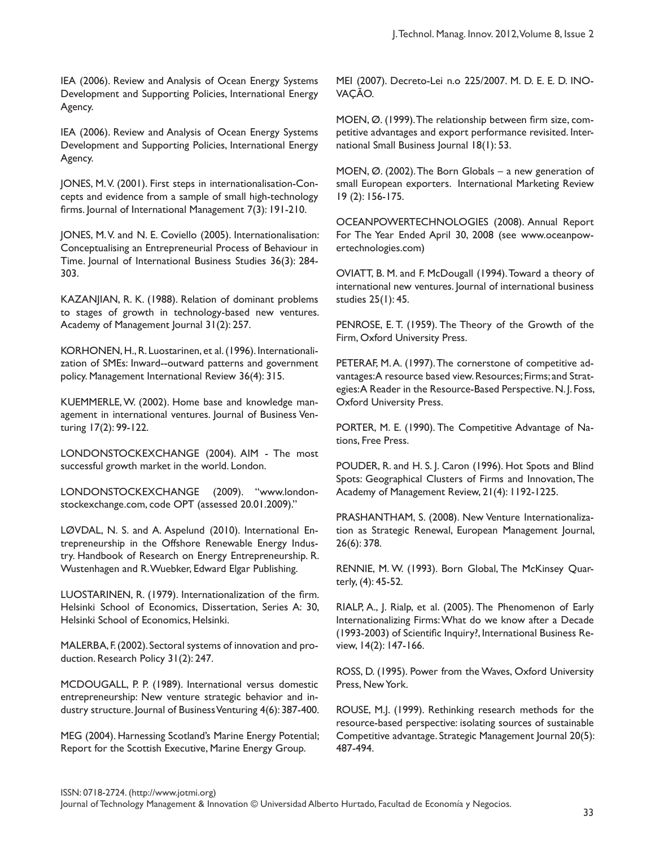IEA (2006). Review and Analysis of Ocean Energy Systems Development and Supporting Policies, International Energy Agency.

IEA (2006). Review and Analysis of Ocean Energy Systems Development and Supporting Policies, International Energy Agency.

JONES, M. V. (2001). First steps in internationalisation-Concepts and evidence from a sample of small high-technology firms. Journal of International Management 7(3): 191-210.

JONES, M. V. and N. E. Coviello (2005). Internationalisation: Conceptualising an Entrepreneurial Process of Behaviour in Time. Journal of International Business Studies 36(3): 284- 303.

KAZANJIAN, R. K. (1988). Relation of dominant problems to stages of growth in technology-based new ventures. Academy of Management Journal 31(2): 257.

KORHONEN, H., R. Luostarinen, et al. (1996). Internationalization of SMEs: Inward--outward patterns and government policy. Management International Review 36(4): 315.

KUEMMERLE, W. (2002). Home base and knowledge management in international ventures. Journal of Business Venturing 17(2): 99-122.

LONDONSTOCKEXCHANGE (2004). AIM - The most successful growth market in the world. London.

LONDONSTOCKEXCHANGE (2009). "www.londonstockexchange.com, code OPT (assessed 20.01.2009)."

LØVDAL, N. S. and A. Aspelund (2010). International Entrepreneurship in the Offshore Renewable Energy Industry. Handbook of Research on Energy Entrepreneurship. R. Wustenhagen and R. Wuebker, Edward Elgar Publishing.

LUOSTARINEN, R. (1979). Internationalization of the firm. Helsinki School of Economics, Dissertation, Series A: 30, Helsinki School of Economics, Helsinki.

MALERBA, F. (2002). Sectoral systems of innovation and production. Research Policy 31(2): 247.

MCDOUGALL, P. P. (1989). International versus domestic entrepreneurship: New venture strategic behavior and industry structure. Journal of Business Venturing 4(6): 387-400.

MEG (2004). Harnessing Scotland's Marine Energy Potential; Report for the Scottish Executive, Marine Energy Group.

MEI (2007). Decreto-Lei n.o 225/2007. M. D. E. E. D. INO-VAÇÃO.

MOEN, Ø. (1999). The relationship between firm size, competitive advantages and export performance revisited. International Small Business Journal 18(1): 53.

MOEN, Ø. (2002). The Born Globals – a new generation of small European exporters. International Marketing Review 19 (2): 156-175.

OCEANPOWERTECHNOLOGIES (2008). Annual Report For The Year Ended April 30, 2008 (see www.oceanpowertechnologies.com)

OVIATT, B. M. and F. McDougall (1994). Toward a theory of international new ventures. Journal of international business studies 25(1): 45.

PENROSE, E. T. (1959). The Theory of the Growth of the Firm, Oxford University Press.

PETERAF, M. A. (1997). The cornerstone of competitive advantages: A resource based view. Resources; Firms; and Strategies: A Reader in the Resource-Based Perspective. N. J. Foss, Oxford University Press.

PORTER, M. E. (1990). The Competitive Advantage of Nations, Free Press.

POUDER, R. and H. S. J. Caron (1996). Hot Spots and Blind Spots: Geographical Clusters of Firms and Innovation, The Academy of Management Review, 21(4): 1192-1225.

PRASHANTHAM, S. (2008). New Venture Internationalization as Strategic Renewal, European Management Journal, 26(6): 378.

RENNIE, M. W. (1993). Born Global, The McKinsey Quarterly, (4): 45-52.

RIALP, A., J. Rialp, et al. (2005). The Phenomenon of Early Internationalizing Firms: What do we know after a Decade (1993-2003) of Scientific Inquiry?, International Business Review, 14(2): 147-166.

ROSS, D. (1995). Power from the Waves, Oxford University Press, New York.

ROUSE, M.J. (1999). Rethinking research methods for the resource-based perspective: isolating sources of sustainable Competitive advantage. Strategic Management Journal 20(5): 487-494.

ISSN: 0718-2724. (http://www.jotmi.org)